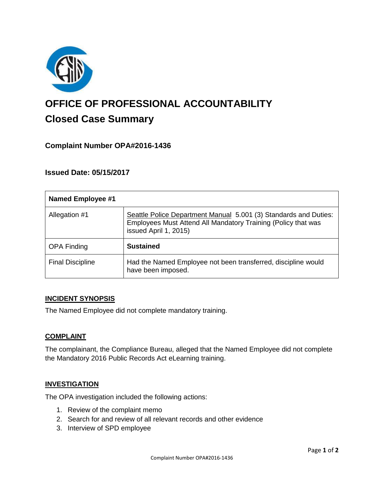

# **OFFICE OF PROFESSIONAL ACCOUNTABILITY Closed Case Summary**

# **Complaint Number OPA#2016-1436**

## **Issued Date: 05/15/2017**

| <b>Named Employee #1</b> |                                                                                                                                                            |
|--------------------------|------------------------------------------------------------------------------------------------------------------------------------------------------------|
| Allegation #1            | Seattle Police Department Manual 5.001 (3) Standards and Duties:<br>Employees Must Attend All Mandatory Training (Policy that was<br>issued April 1, 2015) |
| <b>OPA Finding</b>       | <b>Sustained</b>                                                                                                                                           |
| <b>Final Discipline</b>  | Had the Named Employee not been transferred, discipline would<br>have been imposed.                                                                        |

#### **INCIDENT SYNOPSIS**

The Named Employee did not complete mandatory training.

#### **COMPLAINT**

The complainant, the Compliance Bureau, alleged that the Named Employee did not complete the Mandatory 2016 Public Records Act eLearning training.

#### **INVESTIGATION**

The OPA investigation included the following actions:

- 1. Review of the complaint memo
- 2. Search for and review of all relevant records and other evidence
- 3. Interview of SPD employee